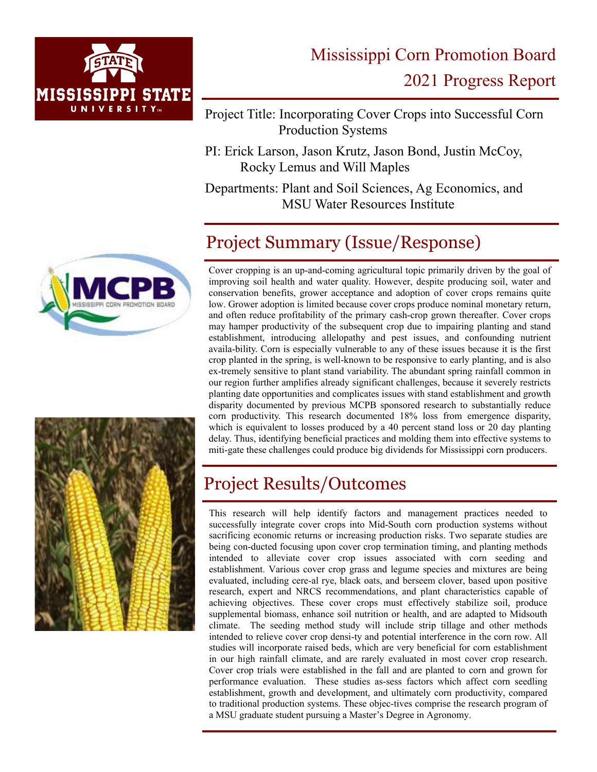

## Mississippi Corn Promotion Board 2021 Progress Report

Project Title: Incorporating Cover Crops into Successful Corn Production Systems

PI: Erick Larson, Jason Krutz, Jason Bond, Justin McCoy, Rocky Lemus and Will Maples

Departments: Plant and Soil Sciences, Ag Economics, and MSU Water Resources Institute

## Project Summary (Issue/Response)

Cover cropping is an up-and-coming agricultural topic primarily driven by the goal of improving soil health and water quality. However, despite producing soil, water and conservation benefits, grower acceptance and adoption of cover crops remains quite low. Grower adoption is limited because cover crops produce nominal monetary return, and often reduce profitability of the primary cash-crop grown thereafter. Cover crops may hamper productivity of the subsequent crop due to impairing planting and stand establishment, introducing allelopathy and pest issues, and confounding nutrient availa-bility. Corn is especially vulnerable to any of these issues because it is the first crop planted in the spring, is well-known to be responsive to early planting, and is also ex-tremely sensitive to plant stand variability. The abundant spring rainfall common in our region further amplifies already significant challenges, because it severely restricts planting date opportunities and complicates issues with stand establishment and growth disparity documented by previous MCPB sponsored research to substantially reduce corn productivity. This research documented 18% loss from emergence disparity, which is equivalent to losses produced by a 40 percent stand loss or 20 day planting delay. Thus, identifying beneficial practices and molding them into effective systems to miti-gate these challenges could produce big dividends for Mississippi corn producers.

## Project Results/Outcomes

This research will help identify factors and management practices needed to successfully integrate cover crops into Mid-South corn production systems without sacrificing economic returns or increasing production risks. Two separate studies are being con-ducted focusing upon cover crop termination timing, and planting methods intended to alleviate cover crop issues associated with corn seeding and establishment. Various cover crop grass and legume species and mixtures are being evaluated, including cere-al rye, black oats, and berseem clover, based upon positive research, expert and NRCS recommendations, and plant characteristics capable of achieving objectives. These cover crops must effectively stabilize soil, produce supplemental biomass, enhance soil nutrition or health, and are adapted to Midsouth climate. The seeding method study will include strip tillage and other methods intended to relieve cover crop densi-ty and potential interference in the corn row. All studies will incorporate raised beds, which are very beneficial for corn establishment in our high rainfall climate, and are rarely evaluated in most cover crop research. Cover crop trials were established in the fall and are planted to corn and grown for performance evaluation. These studies as-sess factors which affect corn seedling establishment, growth and development, and ultimately corn productivity, compared to traditional production systems. These objec-tives comprise the research program of a MSU graduate student pursuing a Master's Degree in Agronomy.